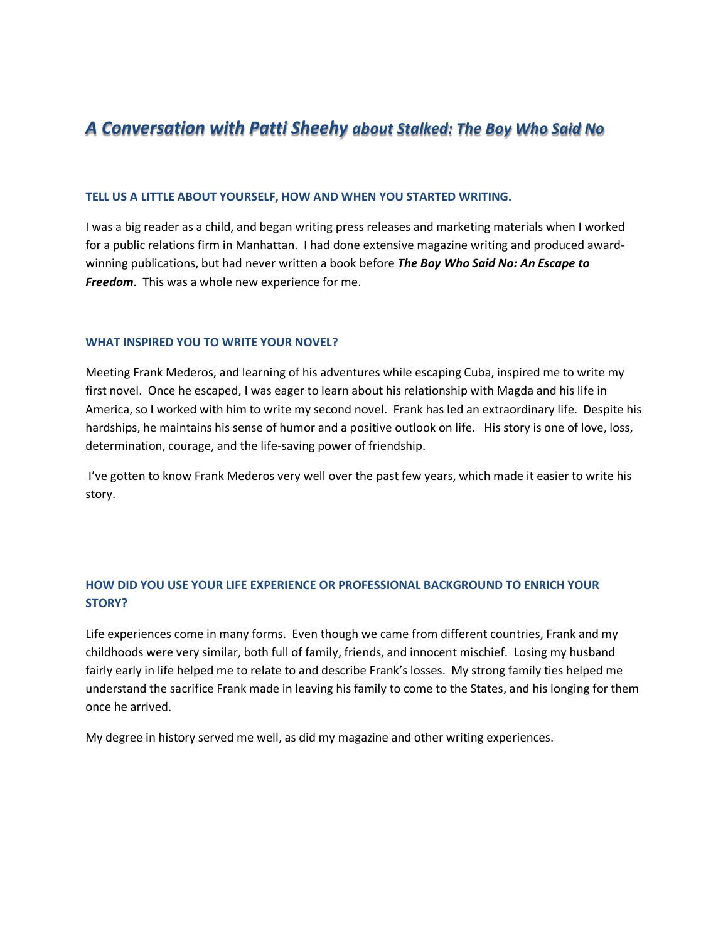# *A Conversation with Patti Sheehy about Stalked: The Boy Who Said No*

#### **TELL US A LITTLE ABOUT YOURSELF, HOW AND WHEN YOU STARTED WRITING.**

I was a big reader as a child, and began writing press releases and marketing materials when I worked for a public relations firm in Manhattan. I had done extensive magazine writing and produced awardwinning publications, but had never written a book before *The Boy Who Said No: An Escape to Freedom*. This was a whole new experience for me.

#### **WHAT INSPIRED YOU TO WRITE YOUR NOVEL?**

Meeting Frank Mederos, and learning of his adventures while escaping Cuba, inspired me to write my first novel. Once he escaped, I was eager to learn about his relationship with Magda and his life in America, so I worked with him to write my second novel. Frank has led an extraordinary life. Despite his hardships, he maintains his sense of humor and a positive outlook on life. His story is one of love, loss, determination, courage, and the life-saving power of friendship.

I've gotten to know Frank Mederos very well over the past few years, which made it easier to write his story.

# **HOW DID YOU USE YOUR LIFE EXPERIENCE OR PROFESSIONAL BACKGROUND TO ENRICH YOUR STORY?**

Life experiences come in many forms. Even though we came from different countries, Frank and my childhoods were very similar, both full of family, friends, and innocent mischief. Losing my husband fairly early in life helped me to relate to and describe Frank's losses. My strong family ties helped me understand the sacrifice Frank made in leaving his family to come to the States, and his longing for them once he arrived.

My degree in history served me well, as did my magazine and other writing experiences.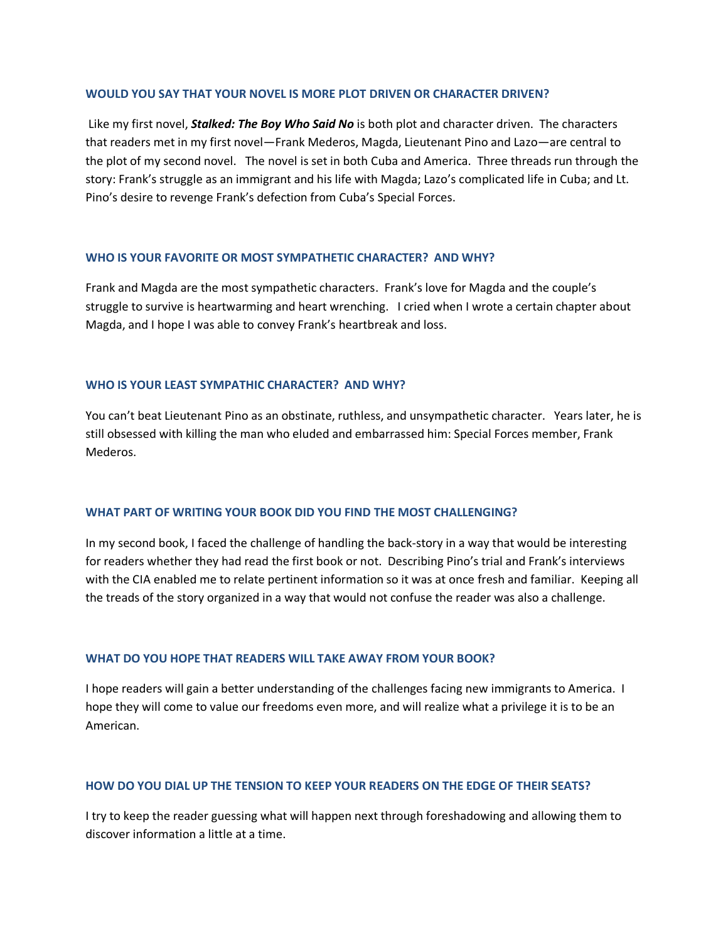#### **WOULD YOU SAY THAT YOUR NOVEL IS MORE PLOT DRIVEN OR CHARACTER DRIVEN?**

Like my first novel, *Stalked: The Boy Who Said No* is both plot and character driven. The characters that readers met in my first novel—Frank Mederos, Magda, Lieutenant Pino and Lazo—are central to the plot of my second novel. The novel is set in both Cuba and America. Three threads run through the story: Frank's struggle as an immigrant and his life with Magda; Lazo's complicated life in Cuba; and Lt. Pino's desire to revenge Frank's defection from Cuba's Special Forces.

## **WHO IS YOUR FAVORITE OR MOST SYMPATHETIC CHARACTER? AND WHY?**

Frank and Magda are the most sympathetic characters. Frank's love for Magda and the couple's struggle to survive is heartwarming and heart wrenching. I cried when I wrote a certain chapter about Magda, and I hope I was able to convey Frank's heartbreak and loss.

## **WHO IS YOUR LEAST SYMPATHIC CHARACTER? AND WHY?**

You can't beat Lieutenant Pino as an obstinate, ruthless, and unsympathetic character. Years later, he is still obsessed with killing the man who eluded and embarrassed him: Special Forces member, Frank Mederos.

#### **WHAT PART OF WRITING YOUR BOOK DID YOU FIND THE MOST CHALLENGING?**

In my second book, I faced the challenge of handling the back-story in a way that would be interesting for readers whether they had read the first book or not. Describing Pino's trial and Frank's interviews with the CIA enabled me to relate pertinent information so it was at once fresh and familiar. Keeping all the treads of the story organized in a way that would not confuse the reader was also a challenge.

#### **WHAT DO YOU HOPE THAT READERS WILL TAKE AWAY FROM YOUR BOOK?**

I hope readers will gain a better understanding of the challenges facing new immigrants to America. I hope they will come to value our freedoms even more, and will realize what a privilege it is to be an American.

## **HOW DO YOU DIAL UP THE TENSION TO KEEP YOUR READERS ON THE EDGE OF THEIR SEATS?**

I try to keep the reader guessing what will happen next through foreshadowing and allowing them to discover information a little at a time.